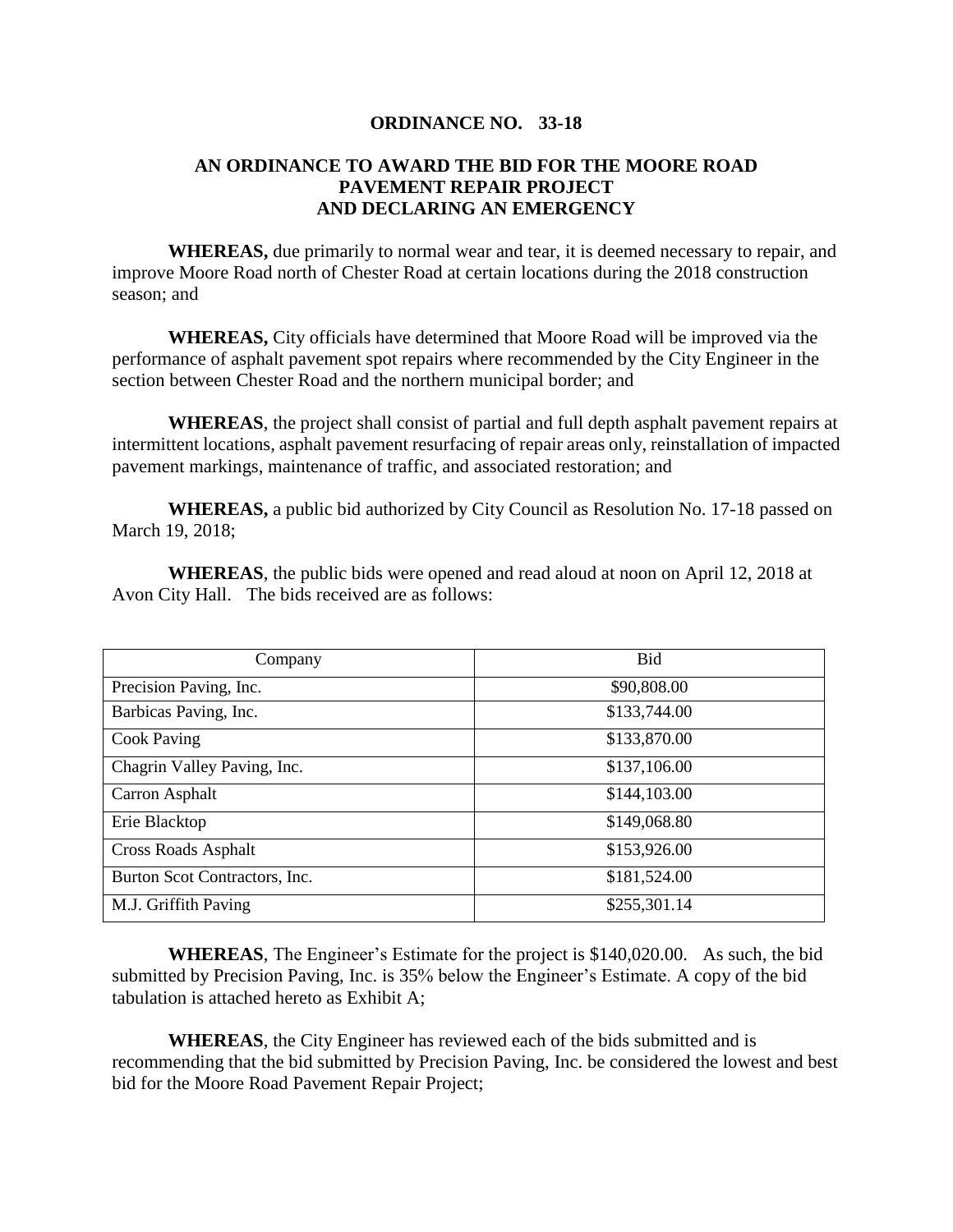## **ORDINANCE NO. 33-18**

## **AN ORDINANCE TO AWARD THE BID FOR THE MOORE ROAD PAVEMENT REPAIR PROJECT AND DECLARING AN EMERGENCY**

**WHEREAS,** due primarily to normal wear and tear, it is deemed necessary to repair, and improve Moore Road north of Chester Road at certain locations during the 2018 construction season; and

**WHEREAS,** City officials have determined that Moore Road will be improved via the performance of asphalt pavement spot repairs where recommended by the City Engineer in the section between Chester Road and the northern municipal border; and

**WHEREAS**, the project shall consist of partial and full depth asphalt pavement repairs at intermittent locations, asphalt pavement resurfacing of repair areas only, reinstallation of impacted pavement markings, maintenance of traffic, and associated restoration; and

**WHEREAS,** a public bid authorized by City Council as Resolution No. 17-18 passed on March 19, 2018;

**WHEREAS**, the public bids were opened and read aloud at noon on April 12, 2018 at Avon City Hall. The bids received are as follows:

| Company                       | Bid          |
|-------------------------------|--------------|
| Precision Paving, Inc.        | \$90,808.00  |
| Barbicas Paving, Inc.         | \$133,744.00 |
| <b>Cook Paving</b>            | \$133,870.00 |
| Chagrin Valley Paving, Inc.   | \$137,106.00 |
| Carron Asphalt                | \$144,103.00 |
| Erie Blacktop                 | \$149,068.80 |
| Cross Roads Asphalt           | \$153,926.00 |
| Burton Scot Contractors, Inc. | \$181,524.00 |
| M.J. Griffith Paving          | \$255,301.14 |

**WHEREAS**, The Engineer's Estimate for the project is \$140,020.00. As such, the bid submitted by Precision Paving, Inc. is 35% below the Engineer's Estimate. A copy of the bid tabulation is attached hereto as Exhibit A;

**WHEREAS**, the City Engineer has reviewed each of the bids submitted and is recommending that the bid submitted by Precision Paving, Inc. be considered the lowest and best bid for the Moore Road Pavement Repair Project;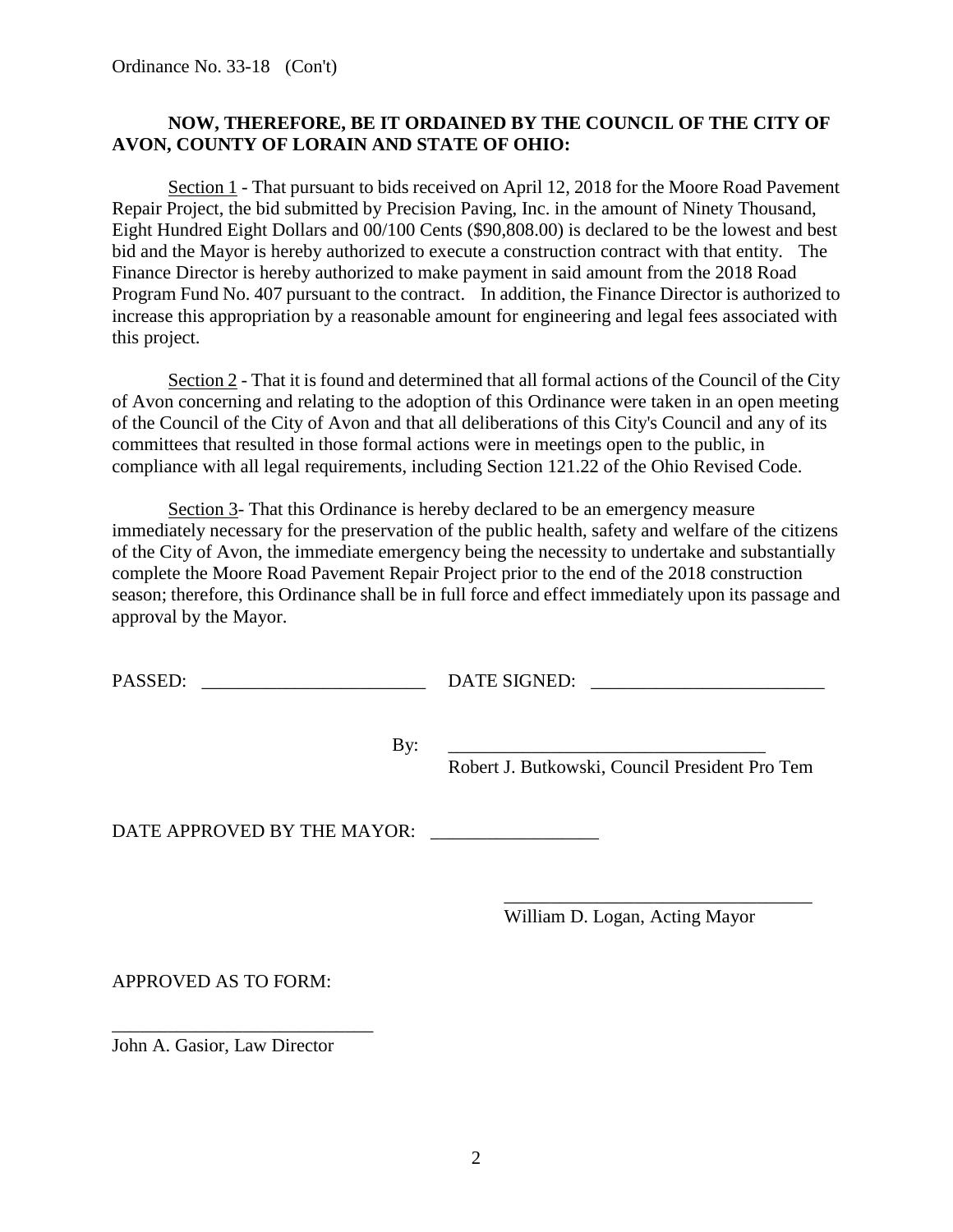Ordinance No. 33-18 (Con't)

## **NOW, THEREFORE, BE IT ORDAINED BY THE COUNCIL OF THE CITY OF AVON, COUNTY OF LORAIN AND STATE OF OHIO:**

Section 1 - That pursuant to bids received on April 12, 2018 for the Moore Road Pavement Repair Project, the bid submitted by Precision Paving, Inc. in the amount of Ninety Thousand, Eight Hundred Eight Dollars and 00/100 Cents (\$90,808.00) is declared to be the lowest and best bid and the Mayor is hereby authorized to execute a construction contract with that entity. The Finance Director is hereby authorized to make payment in said amount from the 2018 Road Program Fund No. 407 pursuant to the contract. In addition, the Finance Director is authorized to increase this appropriation by a reasonable amount for engineering and legal fees associated with this project.

Section 2 - That it is found and determined that all formal actions of the Council of the City of Avon concerning and relating to the adoption of this Ordinance were taken in an open meeting of the Council of the City of Avon and that all deliberations of this City's Council and any of its committees that resulted in those formal actions were in meetings open to the public, in compliance with all legal requirements, including Section 121.22 of the Ohio Revised Code.

Section 3- That this Ordinance is hereby declared to be an emergency measure immediately necessary for the preservation of the public health, safety and welfare of the citizens of the City of Avon, the immediate emergency being the necessity to undertake and substantially complete the Moore Road Pavement Repair Project prior to the end of the 2018 construction season; therefore, this Ordinance shall be in full force and effect immediately upon its passage and approval by the Mayor.

PASSED: \_\_\_\_\_\_\_\_\_\_\_\_\_\_\_\_\_\_\_\_\_\_\_\_ DATE SIGNED: \_\_\_\_\_\_\_\_\_\_\_\_\_\_\_\_\_\_\_\_\_\_\_\_\_

By: \_\_\_\_\_\_\_\_\_\_\_\_\_\_\_\_\_\_\_\_\_\_\_\_\_\_\_\_\_\_\_\_\_\_

Robert J. Butkowski, Council President Pro Tem

DATE APPROVED BY THE MAYOR:

William D. Logan, Acting Mayor

\_\_\_\_\_\_\_\_\_\_\_\_\_\_\_\_\_\_\_\_\_\_\_\_\_\_\_\_\_\_\_\_\_

APPROVED AS TO FORM:

John A. Gasior, Law Director

\_\_\_\_\_\_\_\_\_\_\_\_\_\_\_\_\_\_\_\_\_\_\_\_\_\_\_\_